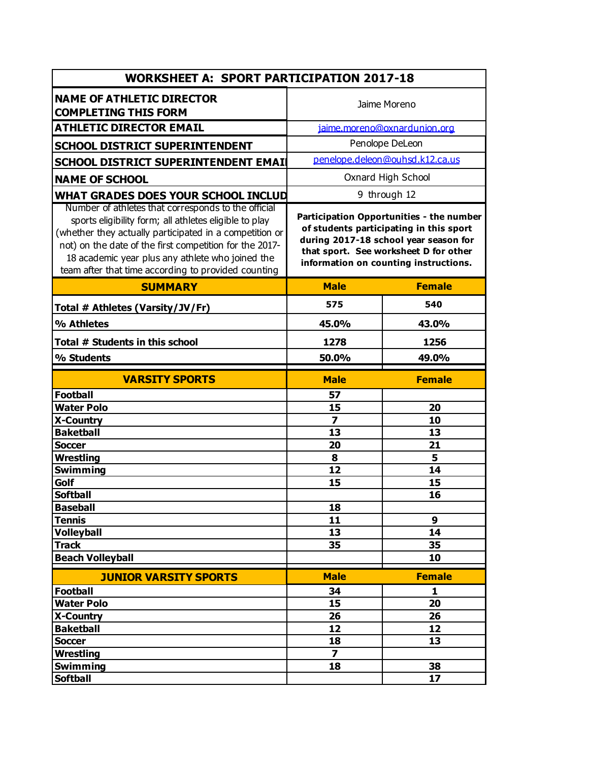| <b>WORKSHEET A: SPORT PARTICIPATION 2017-18</b>                                                                                                                                                                                                                                                                                                |                                                                                                                                                                                                                |               |  |  |
|------------------------------------------------------------------------------------------------------------------------------------------------------------------------------------------------------------------------------------------------------------------------------------------------------------------------------------------------|----------------------------------------------------------------------------------------------------------------------------------------------------------------------------------------------------------------|---------------|--|--|
| <b>NAME OF ATHLETIC DIRECTOR</b><br><b>COMPLETING THIS FORM</b>                                                                                                                                                                                                                                                                                | Jaime Moreno                                                                                                                                                                                                   |               |  |  |
| <b>ATHLETIC DIRECTOR EMAIL</b>                                                                                                                                                                                                                                                                                                                 | jaime.moreno@oxnardunion.org                                                                                                                                                                                   |               |  |  |
| <b>SCHOOL DISTRICT SUPERINTENDENT</b>                                                                                                                                                                                                                                                                                                          | Penolope DeLeon                                                                                                                                                                                                |               |  |  |
| SCHOOL DISTRICT SUPERINTENDENT EMAII                                                                                                                                                                                                                                                                                                           | penelope.deleon@ouhsd.k12.ca.us                                                                                                                                                                                |               |  |  |
|                                                                                                                                                                                                                                                                                                                                                |                                                                                                                                                                                                                |               |  |  |
| <b>NAME OF SCHOOL</b>                                                                                                                                                                                                                                                                                                                          | Oxnard High School                                                                                                                                                                                             |               |  |  |
| WHAT GRADES DOES YOUR SCHOOL INCLUD                                                                                                                                                                                                                                                                                                            | 9 through 12                                                                                                                                                                                                   |               |  |  |
| Number of athletes that corresponds to the official<br>sports eligibility form; all athletes eligible to play<br>(whether they actually participated in a competition or<br>not) on the date of the first competition for the 2017-<br>18 academic year plus any athlete who joined the<br>team after that time according to provided counting | Participation Opportunities - the number<br>of students participating in this sport<br>during 2017-18 school year season for<br>that sport. See worksheet D for other<br>information on counting instructions. |               |  |  |
| <b>SUMMARY</b>                                                                                                                                                                                                                                                                                                                                 | <b>Male</b>                                                                                                                                                                                                    | <b>Female</b> |  |  |
| Total # Athletes (Varsity/JV/Fr)                                                                                                                                                                                                                                                                                                               | 575                                                                                                                                                                                                            | 540           |  |  |
| % Athletes                                                                                                                                                                                                                                                                                                                                     | 45.0%                                                                                                                                                                                                          | 43.0%         |  |  |
| Total # Students in this school                                                                                                                                                                                                                                                                                                                | 1278                                                                                                                                                                                                           | 1256          |  |  |
| % Students                                                                                                                                                                                                                                                                                                                                     | 50.0%                                                                                                                                                                                                          | 49.0%         |  |  |
| <b>VARSITY SPORTS</b>                                                                                                                                                                                                                                                                                                                          | <b>Male</b>                                                                                                                                                                                                    | <b>Female</b> |  |  |
| <b>Football</b>                                                                                                                                                                                                                                                                                                                                | 57                                                                                                                                                                                                             |               |  |  |
| <b>Water Polo</b>                                                                                                                                                                                                                                                                                                                              | 15                                                                                                                                                                                                             | 20            |  |  |
| X-Country                                                                                                                                                                                                                                                                                                                                      | $\overline{\mathbf{z}}$                                                                                                                                                                                        | 10            |  |  |
| <b>Baketball</b>                                                                                                                                                                                                                                                                                                                               | 13                                                                                                                                                                                                             | 13            |  |  |
| Soccer                                                                                                                                                                                                                                                                                                                                         | 20                                                                                                                                                                                                             | 21            |  |  |
| <b>Wrestling</b>                                                                                                                                                                                                                                                                                                                               | 8                                                                                                                                                                                                              | 5             |  |  |
| <b>Swimming</b>                                                                                                                                                                                                                                                                                                                                | 12                                                                                                                                                                                                             | 14            |  |  |
| Golf                                                                                                                                                                                                                                                                                                                                           | 15                                                                                                                                                                                                             | 15            |  |  |
| <b>Softball</b>                                                                                                                                                                                                                                                                                                                                |                                                                                                                                                                                                                | 16            |  |  |
| <b>Baseball</b><br><b>Tennis</b>                                                                                                                                                                                                                                                                                                               | 18<br>11                                                                                                                                                                                                       | 9             |  |  |
| <b>Volleyball</b>                                                                                                                                                                                                                                                                                                                              | 13                                                                                                                                                                                                             | 14            |  |  |
| <b>Track</b>                                                                                                                                                                                                                                                                                                                                   | 35                                                                                                                                                                                                             | 35            |  |  |
| <b>Beach Volleyball</b>                                                                                                                                                                                                                                                                                                                        |                                                                                                                                                                                                                | 10            |  |  |
|                                                                                                                                                                                                                                                                                                                                                |                                                                                                                                                                                                                |               |  |  |
| <b>JUNIOR VARSITY SPORTS</b>                                                                                                                                                                                                                                                                                                                   | <b>Male</b>                                                                                                                                                                                                    | <b>Female</b> |  |  |
| <b>Football</b>                                                                                                                                                                                                                                                                                                                                | 34                                                                                                                                                                                                             | 1             |  |  |
| <b>Water Polo</b>                                                                                                                                                                                                                                                                                                                              | 15                                                                                                                                                                                                             | 20            |  |  |
| X-Country                                                                                                                                                                                                                                                                                                                                      | 26                                                                                                                                                                                                             | 26            |  |  |
| <b>Baketball</b>                                                                                                                                                                                                                                                                                                                               | 12                                                                                                                                                                                                             | 12            |  |  |
| Soccer                                                                                                                                                                                                                                                                                                                                         | 18                                                                                                                                                                                                             | 13            |  |  |
| Wrestling                                                                                                                                                                                                                                                                                                                                      | $\overline{\mathbf{z}}$                                                                                                                                                                                        |               |  |  |
| <b>Swimming</b>                                                                                                                                                                                                                                                                                                                                | 18                                                                                                                                                                                                             | 38            |  |  |
| <b>Softball</b>                                                                                                                                                                                                                                                                                                                                |                                                                                                                                                                                                                | 17            |  |  |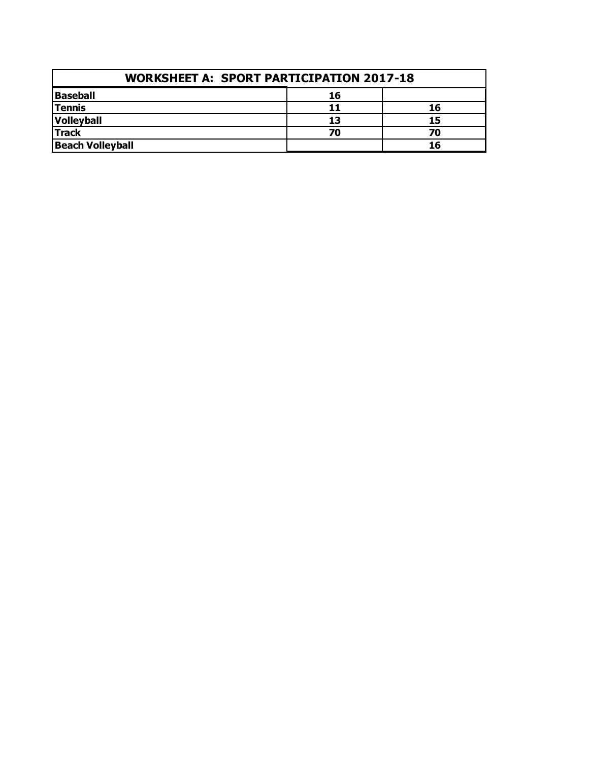| <b>WORKSHEET A: SPORT PARTICIPATION 2017-18</b> |    |    |  |
|-------------------------------------------------|----|----|--|
| <b>Baseball</b>                                 | 16 |    |  |
| <b>Tennis</b>                                   | 11 | 16 |  |
| <b>Volleyball</b>                               | 13 | 15 |  |
| <b>Track</b>                                    | 70 | 70 |  |
| <b>Beach Volleyball</b>                         |    | 16 |  |